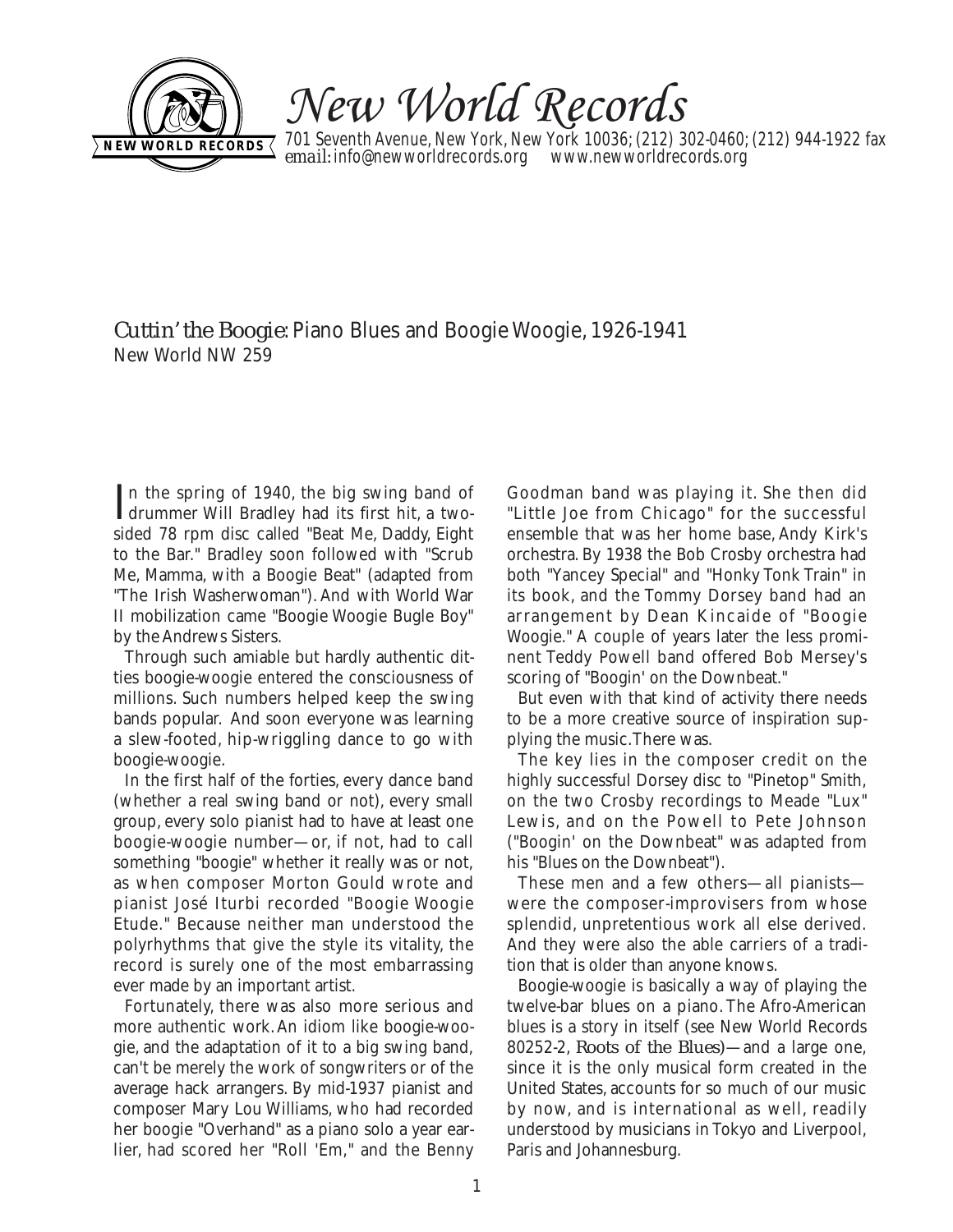

New World Records

701 Seventh Avenue, New York, New York 10036; (212) 302-0460; (212) 944-1922 fax **email:** info@newworldrecords.org www.newworldrecords.org **NEW WORLD RECORDS**  $\left\{ \begin{array}{ll} \text{maximize} \\ \text{maximize} \end{array} \right\}$ 

*Cuttin' the Boogie*: Piano Blues and Boogie Woogie, 1926-1941 New World NW 259

In the spring of 1940, the big swing band of<br>drummer Will Bradley had its first hit, a twodrummer Will Bradley had its first hit, a twosided 78 rpm disc called "Beat Me, Daddy, Eight to the Bar." Bradley soon followed with "Scrub Me, Mamma, with a Boogie Beat" (adapted from "The Irish Washerwoman"). And with World War II mobilization came "Boogie Woogie Bugle Boy" by the Andrews Sisters.

Through such amiable but hardly authentic ditties boogie-woogie entered the consciousness of millions. Such numbers helped keep the swing bands popular. And soon everyone was learning a slew-footed, hip-wriggling dance to go with boogie-woogie.

In the first half of the forties, every dance band (whether a real swing band or not), every small group, every solo pianist had to have at least one boogie-woogie number—or, if not, had to call something "boogie" whether it really was or not, as when composer Morton Gould wrote and pianist José Iturbi recorded "Boogie Woogie Etude." Because neither man understood the polyrhythms that give the style its vitality, the record is surely one of the most embarrassing ever made by an important artist.

Fortunately, there was also more serious and more authentic work. An idiom like boogie-woogie, and the adaptation of it to a big swing band, can't be merely the work of songwriters or of the average hack arrangers. By mid-1937 pianist and composer Mary Lou Williams, who had recorded her boogie "Overhand" as a piano solo a year earlier, had scored her "Roll 'Em," and the Benny Goodman band was playing it. She then did "Little Joe from Chicago" for the successful ensemble that was her home base, Andy Kirk's orchestra. By 1938 the Bob Crosby orchestra had both "Yancey Special" and "Honky Tonk Train" in its book, and the Tommy Dorsey band had an arrangement by Dean Kincaide of "Boogie Woogie." A couple of years later the less prominent Teddy Powell band offered Bob Mersey's scoring of "Boogin' on the Downbeat."

But even with that kind of activity there needs to be a more creative source of inspiration supplying the music.There was.

The key lies in the composer credit on the highly successful Dorsey disc to "Pinetop" Smith, on the two Crosby recordings to Meade "Lux" Lewis, and on the Powell to Pete Johnson ("Boogin' on the Downbeat" was adapted from his "Blues on the Downbeat").

These men and a few others—all pianists were the composer-improvisers from whose splendid, unpretentious work all else derived. And they were also the able carriers of a tradition that is older than anyone knows.

Boogie-woogie is basically a way of playing the twelve-bar blues on a piano. The Afro-American blues is a story in itself (see New World Records 80252-2, *Roots of the Blues)*—and a large one, since it is the only musical form created in the United States, accounts for so much of our music by now, and is international as well, readily understood by musicians in Tokyo and Liverpool, Paris and Johannesburg.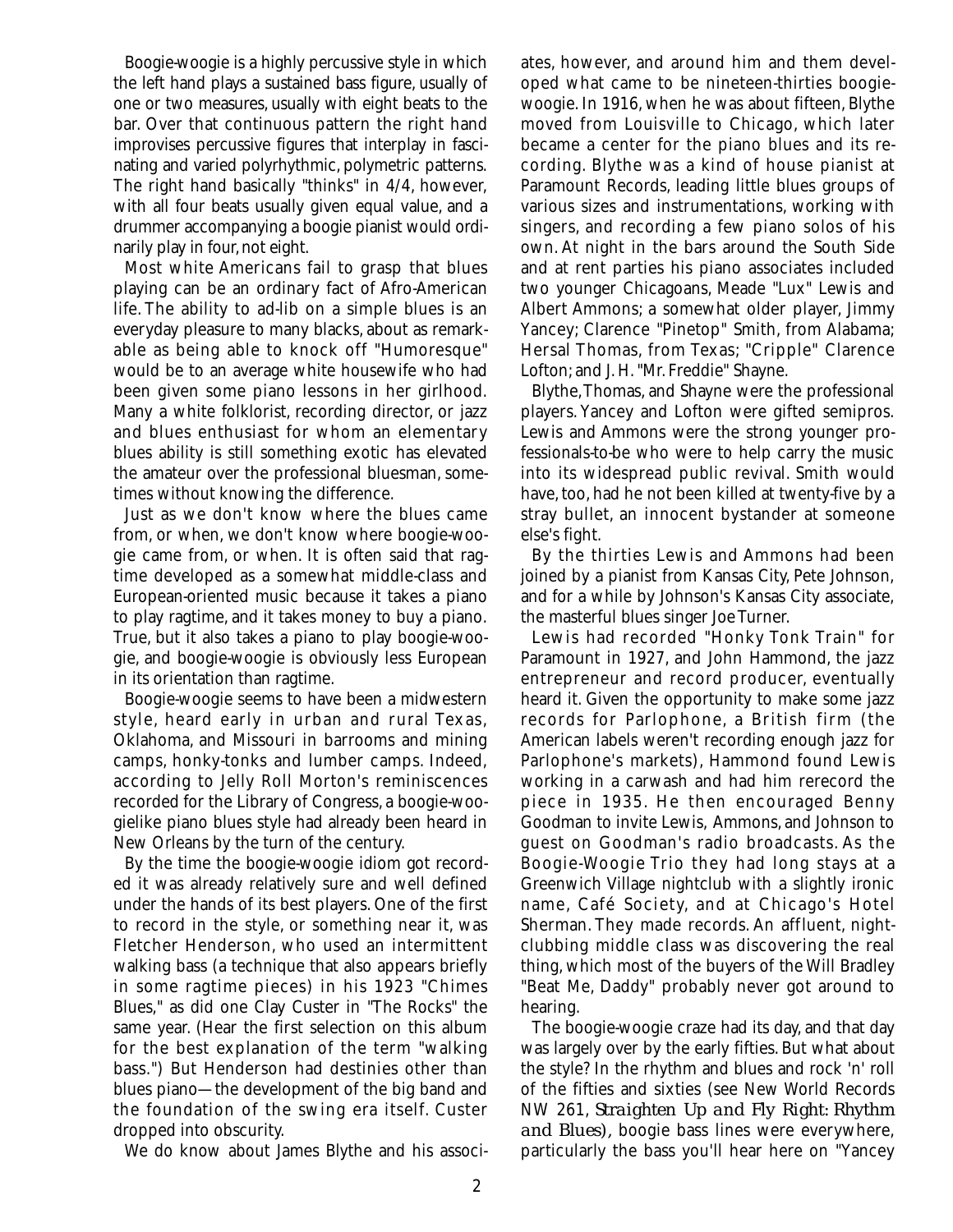Boogie-woogie is a highly percussive style in which the left hand plays a sustained bass figure, usually of one or two measures, usually with eight beats to the bar. Over that continuous pattern the right hand improvises percussive figures that interplay in fascinating and varied polyrhythmic, polymetric patterns. The right hand basically "thinks" in 4/4, however, with all four beats usually given equal value, and a drummer accompanying a boogie pianist would ordinarily play in four, not eight.

Most white Americans fail to grasp that blues playing can be an ordinary fact of Afro-American life. The ability to ad-lib on a simple blues is an everyday pleasure to many blacks, about as remarkable as being able to knock off "Humoresque" would be to an average white housewife who had been given some piano lessons in her girlhood. Many a white folklorist, recording director, or jazz and blues enthusiast for whom an elementary blues ability is still something exotic has elevated the amateur over the professional bluesman, sometimes without knowing the difference.

Just as we don't know where the blues came from, or when, we don't know where boogie-woogie came from, or when. It is often said that ragtime developed as a somewhat middle-class and European-oriented music because it takes a piano to play ragtime, and it takes money to buy a piano. True, but it also takes a piano to play boogie-woogie, and boogie-woogie is obviously less European in its orientation than ragtime.

Boogie-woogie seems to have been a midwestern style, heard early in urban and rural Texas, Oklahoma, and Missouri in barrooms and mining camps, honky-tonks and lumber camps. Indeed, according to Jelly Roll Morton's reminiscences recorded for the Library of Congress, a boogie-woogielike piano blues style had already been heard in New Orleans by the turn of the century.

By the time the boogie-woogie idiom got recorded it was already relatively sure and well defined under the hands of its best players. One of the first to record in the style, or something near it, was Fletcher Henderson, who used an intermittent walking bass (a technique that also appears briefly in some ragtime pieces) in his 1923 "Chimes Blues," as did one Clay Custer in "The Rocks" the same year. (Hear the first selection on this album for the best explanation of the term "walking bass.") But Henderson had destinies other than blues piano—the development of the big band and the foundation of the swing era itself. Custer dropped into obscurity.

We do know about James Blythe and his associ-

ates, however, and around him and them developed what came to be nineteen-thirties boogiewoogie. In 1916, when he was about fifteen, Blythe moved from Louisville to Chicago, which later became a center for the piano blues and its recording. Blythe was a kind of house pianist at Paramount Records, leading little blues groups of various sizes and instrumentations, working with singers, and recording a few piano solos of his own. At night in the bars around the South Side and at rent parties his piano associates included two younger Chicagoans, Meade "Lux" Lewis and Albert Ammons; a somewhat older player, Jimmy Yancey; Clarence "Pinetop" Smith, from Alabama; Hersal Thomas, from Texas; "Cripple" Clarence Lofton; and J. H."Mr. Freddie" Shayne.

Blythe,Thomas, and Shayne were the professional players. Yancey and Lofton were gifted semipros. Lewis and Ammons were the strong younger professionals-to-be who were to help carry the music into its widespread public revival. Smith would have, too, had he not been killed at twenty-five by a stray bullet, an innocent bystander at someone else's fight.

By the thirties Lewis and Ammons had been joined by a pianist from Kansas City, Pete Johnson, and for a while by Johnson's Kansas City associate, the masterful blues singer Joe Turner.

Lewis had recorded "Honky Tonk Train" for Paramount in 1927, and John Hammond, the jazz entrepreneur and record producer, eventually heard it. Given the opportunity to make some jazz records for Parlophone, a British firm (the American labels weren't recording enough jazz for Parlophone's markets), Hammond found Lewis working in a carwash and had him rerecord the piece in 1935. He then encouraged Benny Goodman to invite Lewis, Ammons, and Johnson to guest on Goodman's radio broadcasts. As the Boogie-Woogie Trio they had long stays at a Greenwich Village nightclub with a slightly ironic name, Café Society, and at Chicago's Hotel Sherman. They made records. An affluent, nightclubbing middle class was discovering the real thing, which most of the buyers of the Will Bradley "Beat Me, Daddy" probably never got around to hearing.

The boogie-woogie craze had its day, and that day was largely over by the early fifties. But what about the style? In the rhythm and blues and rock 'n' roll of the fifties and sixties (see New World Records NW 261, *Straighten Up and Fly Right: Rhythm and Blues),* boogie bass lines were everywhere, particularly the bass you'll hear here on "Yancey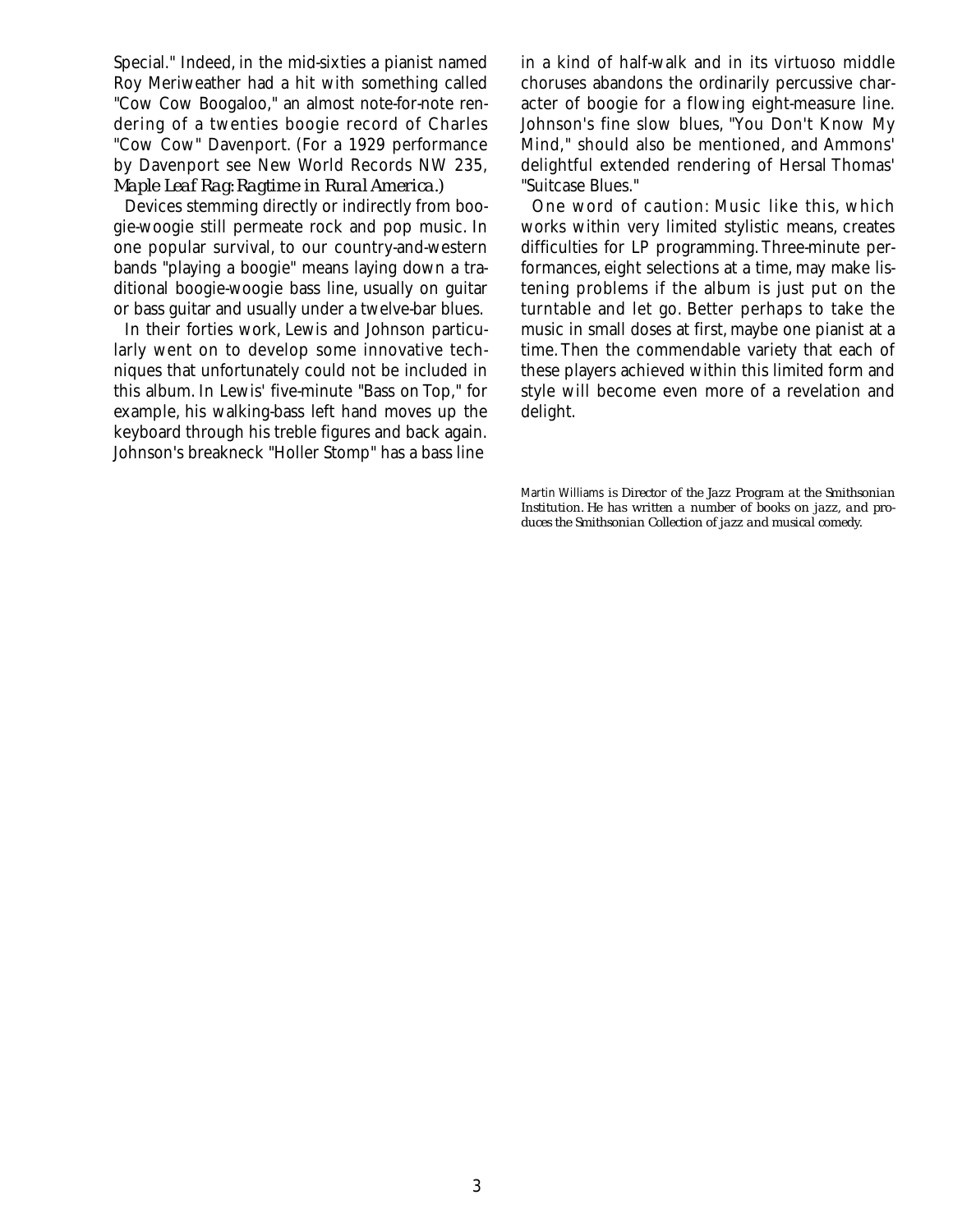Special." Indeed, in the mid-sixties a pianist named Roy Meriweather had a hit with something called "Cow Cow Boogaloo," an almost note-for-note rendering of a twenties boogie record of Charles "Cow Cow" Davenport. (For a 1929 performance by Davenport see New World Records NW 235, *Maple Leaf Rag: Ragtime in Rural America.)*

Devices stemming directly or indirectly from boogie-woogie still permeate rock and pop music. In one popular survival, to our country-and-western bands "playing a boogie" means laying down a traditional boogie-woogie bass line, usually on guitar or bass guitar and usually under a twelve-bar blues.

In their forties work, Lewis and Johnson particularly went on to develop some innovative techniques that unfortunately could not be included in this album. In Lewis' five-minute "Bass on Top," for example, his walking-bass left hand moves up the keyboard through his treble figures and back again. Johnson's breakneck "Holler Stomp" has a bass line

in a kind of half-walk and in its virtuoso middle choruses abandons the ordinarily percussive character of boogie for a flowing eight-measure line. Johnson's fine slow blues, "You Don't Know My Mind," should also be mentioned, and Ammons' delightful extended rendering of Hersal Thomas' "Suitcase Blues."

One word of caution: Music like this, which works within very limited stylistic means, creates difficulties for LP programming. Three-minute performances, eight selections at a time, may make listening problems if the album is just put on the turntable and let go. Better perhaps to take the music in small doses at first, maybe one pianist at a time. Then the commendable variety that each of these players achieved within this limited form and style will become even more of a revelation and delight.

Martin Williams *is Director of the Jazz Program at the Smithsonian Institution. He has written a number of books on jazz, and produces the Smithsonian Collection of jazz and musical comedy.*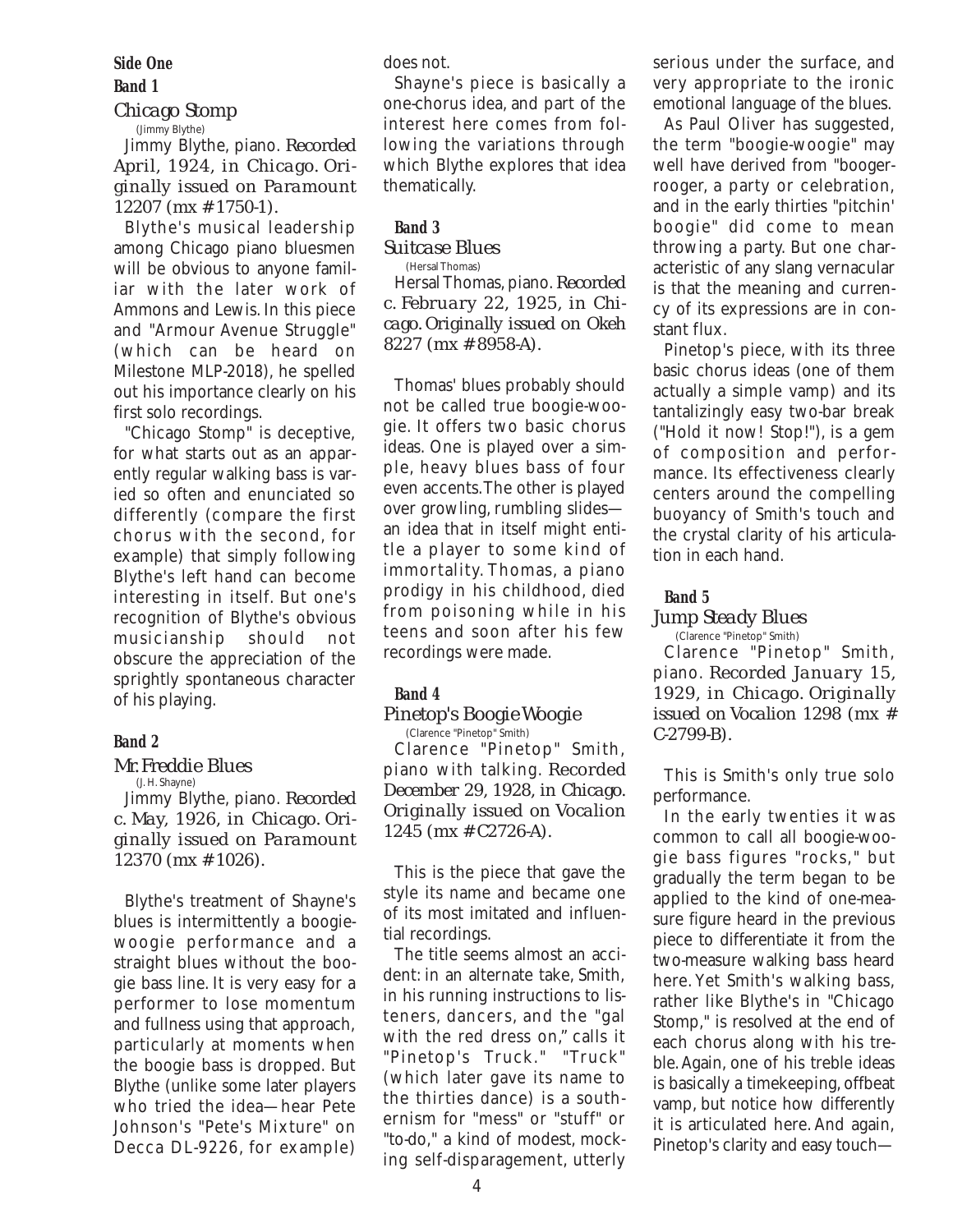**Side One**

# **Band 1**

*Chicago Stomp* (Jimmy Blythe)

Jimmy Blythe, piano. *Recorded April, 1924, in Chicago. Originally issued on Paramount 12207 (mx # 1750-1).*

Blythe's musical leadership among Chicago piano bluesmen will be obvious to anyone familiar with the later work of Ammons and Lewis. In this piece and "Armour Avenue Struggle" (which can be heard on Milestone MLP-2018), he spelled out his importance clearly on his first solo recordings.

"Chicago Stomp" is deceptive, for what starts out as an apparently regular walking bass is varied so often and enunciated so differently (compare the first chorus with the second, for example) that simply following Blythe's left hand can become interesting in itself. But one's recognition of Blythe's obvious musicianship should not obscure the appreciation of the sprightly spontaneous character of his playing.

# **Band 2**

## *Mr. Freddie Blues*

(J. H. Shayne) Jimmy Blythe, piano. *Recorded c. May, 1926, in Chicago. Originally issued on Paramount 12370 (mx # 1026).*

Blythe's treatment of Shayne's blues is intermittently a boogiewoogie performance and a straight blues without the boogie bass line. It is very easy for a performer to lose momentum and fullness using that approach, particularly at moments when the boogie bass is dropped. But Blythe (unlike some later players who tried the idea—hear Pete Johnson's "Pete's Mixture" on Decca DL-9226, for example)

does not.

Shayne's piece is basically a one-chorus idea, and part of the interest here comes from following the variations through which Blythe explores that idea thematically.

## **Band 3**

## *Suitcase Blues*

(Hersal Thomas)

Hersal Thomas, piano.*Recorded c. February 22, 1925, in Chicago. Originally issued on Okeh 8227 (mx # 8958-A).*

Thomas' blues probably should not be called true boogie-woogie. It offers two basic chorus ideas. One is played over a simple, heavy blues bass of four even accents.The other is played over growling, rumbling slides an idea that in itself might entitle a player to some kind of immortality. Thomas, a piano prodigy in his childhood, died from poisoning while in his teens and soon after his few recordings were made.

# **Band 4**

## *Pinetop's Boogie Woogie*

(Clarence "Pinetop" Smith) Clarence "Pinetop" Smith, piano with talking. *Recorded December 29, 1928, in Chicago. Originally issued on Vocalion 1245 (mx # C2726-A).*

This is the piece that gave the style its name and became one of its most imitated and influential recordings.

The title seems almost an accident: in an alternate take, Smith, in his running instructions to listeners, dancers, and the "gal with the red dress on," calls it "Pinetop's Truck." "Truck" (which later gave its name to the thirties dance) is a southernism for "mess" or "stuff" or "to-do," a kind of modest, mocking self-disparagement, utterly serious under the surface, and very appropriate to the ironic emotional language of the blues.

As Paul Oliver has suggested, the term "boogie-woogie" may well have derived from "boogerrooger, a party or celebration, and in the early thirties "pitchin' boogie" did come to mean throwing a party. But one characteristic of any slang vernacular is that the meaning and currency of its expressions are in constant flux.

Pinetop's piece, with its three basic chorus ideas (one of them actually a simple vamp) and its tantalizingly easy two-bar break ("Hold it now! Stop!"), is a gem of composition and performance. Its effectiveness clearly centers around the compelling buoyancy of Smith's touch and the crystal clarity of his articulation in each hand.

## **Band 5**

## *Jump Steady Blues*

(Clarence "Pinetop" Smith) Clarence "Pinetop" Smith, piano. *Recorded January 15, 1929, in Chicago. Originally issued on Vocalion 1298 (mx # C-2799-B).*

This is Smith's only true solo performance.

In the early twenties it was common to call all boogie-woogie bass figures "rocks," but gradually the term began to be applied to the kind of one-measure figure heard in the previous piece to differentiate it from the two-measure walking bass heard here. Yet Smith's walking bass, rather like Blythe's in "Chicago Stomp," is resolved at the end of each chorus along with his treble.Again, one of his treble ideas is basically a timekeeping, offbeat vamp, but notice how differently it is articulated here. And again, Pinetop's clarity and easy touch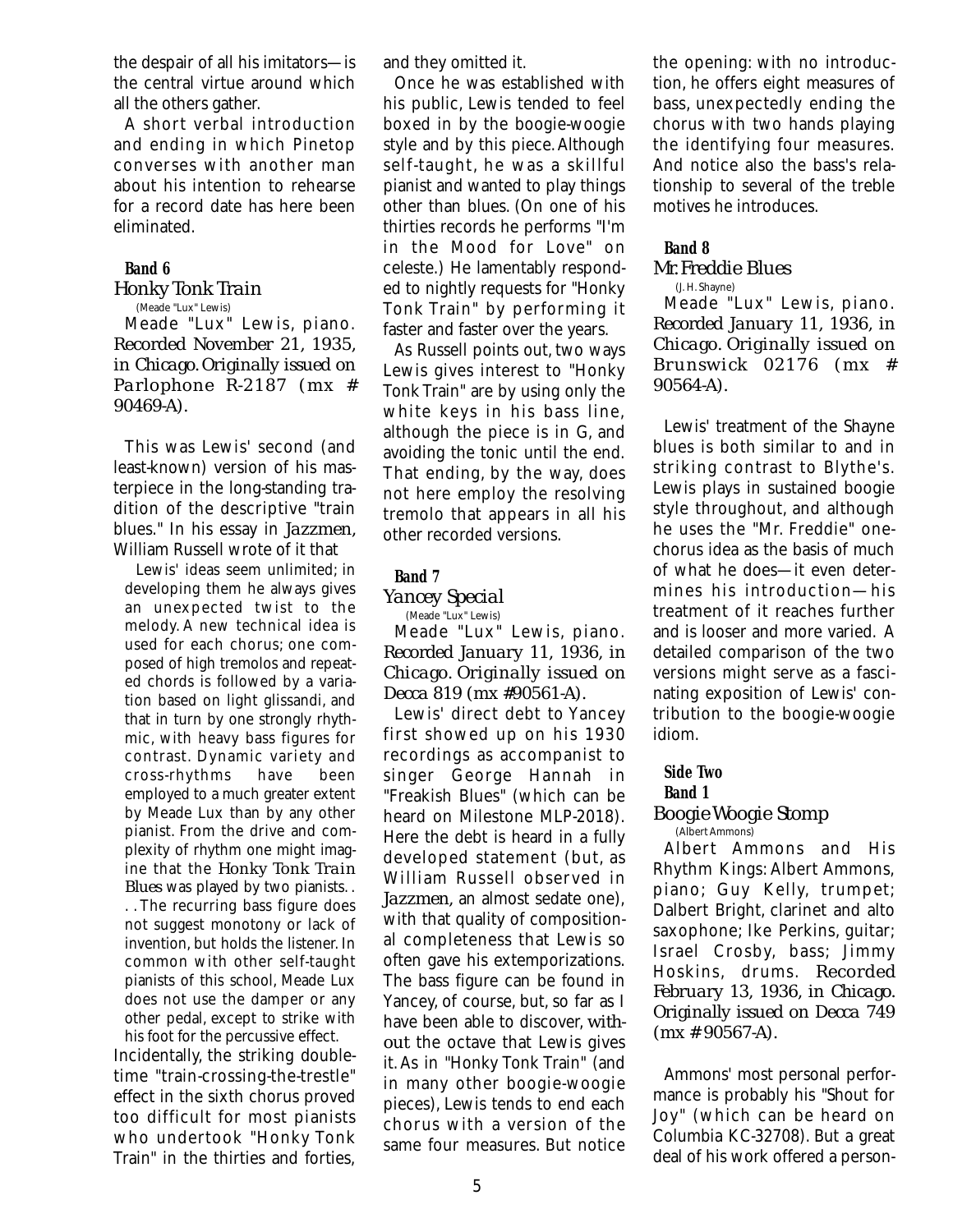the despair of all his imitators—is the central virtue around which all the others gather.

A short verbal introduction and ending in which Pinetop converses with another man about his intention to rehearse for a record date has here been eliminated.

## **Band 6**

#### *Honky Tonk Train* (Meade "Lux" Lewis)

Meade "Lux" Lewis, piano. *Recorded November 21, 1935, in Chicago. Originally issued on Parlophone R-2187 (mx # 90469-A).*

This was Lewis' second (and least-known) version of his masterpiece in the long-standing tradition of the descriptive "train blues." In his essay in *Jazzmen,* William Russell wrote of it that

Lewis' ideas seem unlimited; in developing them he always gives an unexpected twist to the melody. A new technical idea is used for each chorus; one composed of high tremolos and repeated chords is followed by a variation based on light glissandi, and that in turn by one strongly rhythmic, with heavy bass figures for contrast. Dynamic variety and cross-rhythms have been employed to a much greater extent by Meade Lux than by any other pianist. From the drive and complexity of rhythm one might imagine that the *Honky Tonk Train Blues* was played by two pianists. . . . The recurring bass figure does not suggest monotony or lack of invention, but holds the listener. In common with other self-taught pianists of this school, Meade Lux does not use the damper or any other pedal, except to strike with his foot for the percussive effect.

Incidentally, the striking doubletime "train-crossing-the-trestle" effect in the sixth chorus proved too difficult for most pianists who undertook "Honky Tonk Train" in the thirties and forties,

and they omitted it.

Once he was established with his public, Lewis tended to feel boxed in by the boogie-woogie style and by this piece.Although self-taught, he was a skillful pianist and wanted to play things other than blues. (On one of his thirties records he performs "I'm in the Mood for Love" on celeste.) He lamentably responded to nightly requests for "Honky Tonk Train" by performing it faster and faster over the years.

As Russell points out, two ways Lewis gives interest to "Honky Tonk Train" are by using only the white keys in his bass line, although the piece is in G, and avoiding the tonic until the end. That ending, by the way, does not here employ the resolving tremolo that appears in all his other recorded versions.

## **Band 7**

## *Yancey Special*

(Meade "Lux" Lewis)

Meade "Lux" Lewis, piano. *Recorded January 11, 1936, in Chicago. Originally issued on Decca 819 (mx #90561-A).*

Lewis' direct debt to Yancey first showed up on his 1930 recordings as accompanist to singer George Hannah in "Freakish Blues" (which can be heard on Milestone MLP-2018). Here the debt is heard in a fully developed statement (but, as William Russell observed in *Jazzmen,* an almost sedate one), with that quality of compositional completeness that Lewis so often gave his extemporizations. The bass figure can be found in Yancey, of course, but, so far as I have been able to discover, *without* the octave that Lewis gives it.As in "Honky Tonk Train" (and in many other boogie-woogie pieces), Lewis tends to end each chorus with a version of the same four measures. But notice

the opening: with no introduction, he offers eight measures of bass, unexpectedly ending the chorus with two hands playing the identifying four measures. And notice also the bass's relationship to several of the treble motives he introduces.

## **Band 8**

## *Mr. Freddie Blues*

(J. H. Shayne)

Meade "Lux" Lewis, piano. *Recorded January 11, 1936, in Chicago. Originally issued on Brunswick 02176 (mx # 90564-A).*

Lewis' treatment of the Shayne blues is both similar to and in striking contrast to Blythe's. Lewis plays in sustained boogie style throughout, and although he uses the "Mr. Freddie" onechorus idea as the basis of much of what he does—it even determines his introduction—his treatment of it reaches further and is looser and more varied. A detailed comparison of the two versions might serve as a fascinating exposition of Lewis' contribution to the boogie-woogie idiom.

#### **Side Two**

#### **Band 1**

#### *Boogie Woogie Stomp* (Albert Ammons)

Albert Ammons and His Rhythm Kings: Albert Ammons, piano; Guy Kelly, trumpet; Dalbert Bright, clarinet and alto saxophone; Ike Perkins, guitar; Israel Crosby, bass; Jimmy Hoskins, drums. *Recorded February 13, 1936, in Chicago. Originally issued on Decca 749 (mx # 90567-A).*

Ammons' most personal performance is probably his "Shout for Joy" (which can be heard on Columbia KC-32708). But a great deal of his work offered a person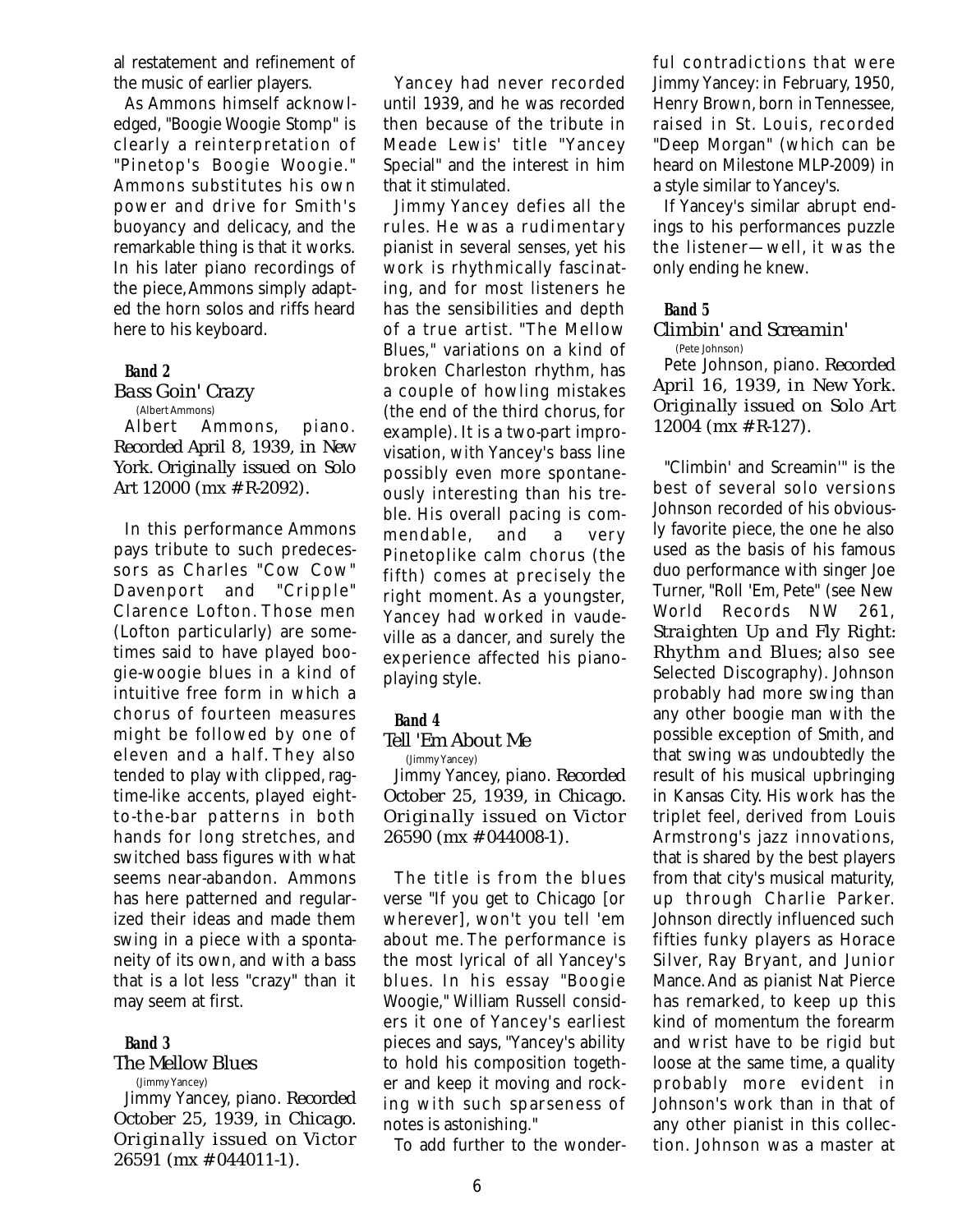al restatement and refinement of the music of earlier players.

As Ammons himself acknowledged, "Boogie Woogie Stomp" is clearly a reinterpretation of "Pinetop's Boogie Woogie." Ammons substitutes his own power and drive for Smith's buoyancy and delicacy, and the remarkable thing is that it works. In his later piano recordings of the piece,Ammons simply adapted the horn solos and riffs heard here to his keyboard.

#### **Band 2**

## *Bass Goin' Crazy*

#### (Albert Ammons)

Albert Ammons, piano. *Recorded April 8, 1939, in New York. Originally issued on Solo Art 12000 (mx # R-2092).*

In this performance Ammons pays tribute to such predecessors as Charles "Cow Cow" Davenport and "Cripple" Clarence Lofton. Those men (Lofton particularly) are sometimes said to have played boogie-woogie blues in a kind of intuitive free form in which a chorus of fourteen measures might be followed by one of eleven and a half. They also tended to play with clipped, ragtime-like accents, played eightto-the-bar patterns in both hands for long stretches, and switched bass figures with what seems near-abandon. Ammons has here patterned and regularized their ideas and made them swing in a piece with a spontaneity of its own, and with a bass that is a lot less "crazy" than it may seem at first.

## **Band 3**

#### *The Mellow Blues*  (Jimmy Yancey)

Jimmy Yancey, piano. *Recorded October 25, 1939, in Chicago. Originally issued on Victor 26591 (mx # 044011-1).*

Yancey had never recorded until 1939, and he was recorded then because of the tribute in Meade Lewis' title "Yancey Special" and the interest in him that it stimulated.

Jimmy Yancey defies all the rules. He was a rudimentary pianist in several senses, yet his work is rhythmically fascinating, and for most listeners he has the sensibilities and depth of a true artist. "The Mellow Blues," variations on a kind of broken Charleston rhythm, has a couple of howling mistakes (the end of the third chorus, for example). It is a two-part improvisation, with Yancey's bass line possibly even more spontaneously interesting than his treble. His overall pacing is commendable, and a very Pinetoplike calm chorus (the fifth) comes at precisely the right moment. As a youngster, Yancey had worked in vaudeville as a dancer, and surely the experience affected his pianoplaying style.

## **Band 4**

## *Tell 'Em About Me*

(Jimmy Yancey) Jimmy Yancey, piano. *Recorded October 25, 1939, in Chicago. Originally issued on Victor 26590 (mx # 044008-1).*

The title is from the blues verse "If you get to Chicago [or wherever], won't you tell 'em about me. The performance is the most lyrical of all Yancey's blues. In his essay "Boogie Woogie," William Russell considers it one of Yancey's earliest pieces and says, "Yancey's ability to hold his composition together and keep it moving and rocking with such sparseness of notes is astonishing."

To add further to the wonder-

ful contradictions that were Jimmy Yancey: in February, 1950, Henry Brown, born in Tennessee, raised in St. Louis, recorded "Deep Morgan" (which can be heard on Milestone MLP-2009) in a style similar to Yancey's.

If Yancey's similar abrupt endings to his performances puzzle the listener—well, it was the only ending he knew.

## **Band 5**

#### *Climbin' and Screamin'* (Pete Johnson)

Pete Johnson, piano. *Recorded April 16, 1939, in New York. Originally issued on Solo Art 12004 (mx # R-127).*

"Climbin' and Screamin'" is the best of several solo versions Johnson recorded of his obviously favorite piece, the one he also used as the basis of his famous duo performance with singer Joe Turner, "Roll 'Em, Pete" (see New World Records NW 261, *Straighten Up and Fly Right: Rhythm and Blues;* also see Selected Discography). Johnson probably had more swing than any other boogie man with the possible exception of Smith, and that swing was undoubtedly the result of his musical upbringing in Kansas City. His work has the triplet feel, derived from Louis Armstrong's jazz innovations, that is shared by the best players from that city's musical maturity, up through Charlie Parker. Johnson directly influenced such fifties funky players as Horace Silver, Ray Bryant, and Junior Mance.And as pianist Nat Pierce has remarked, to keep up this kind of momentum the forearm and wrist have to be rigid but loose at the same time, a quality probably more evident in Johnson's work than in that of any other pianist in this collection. Johnson was a master at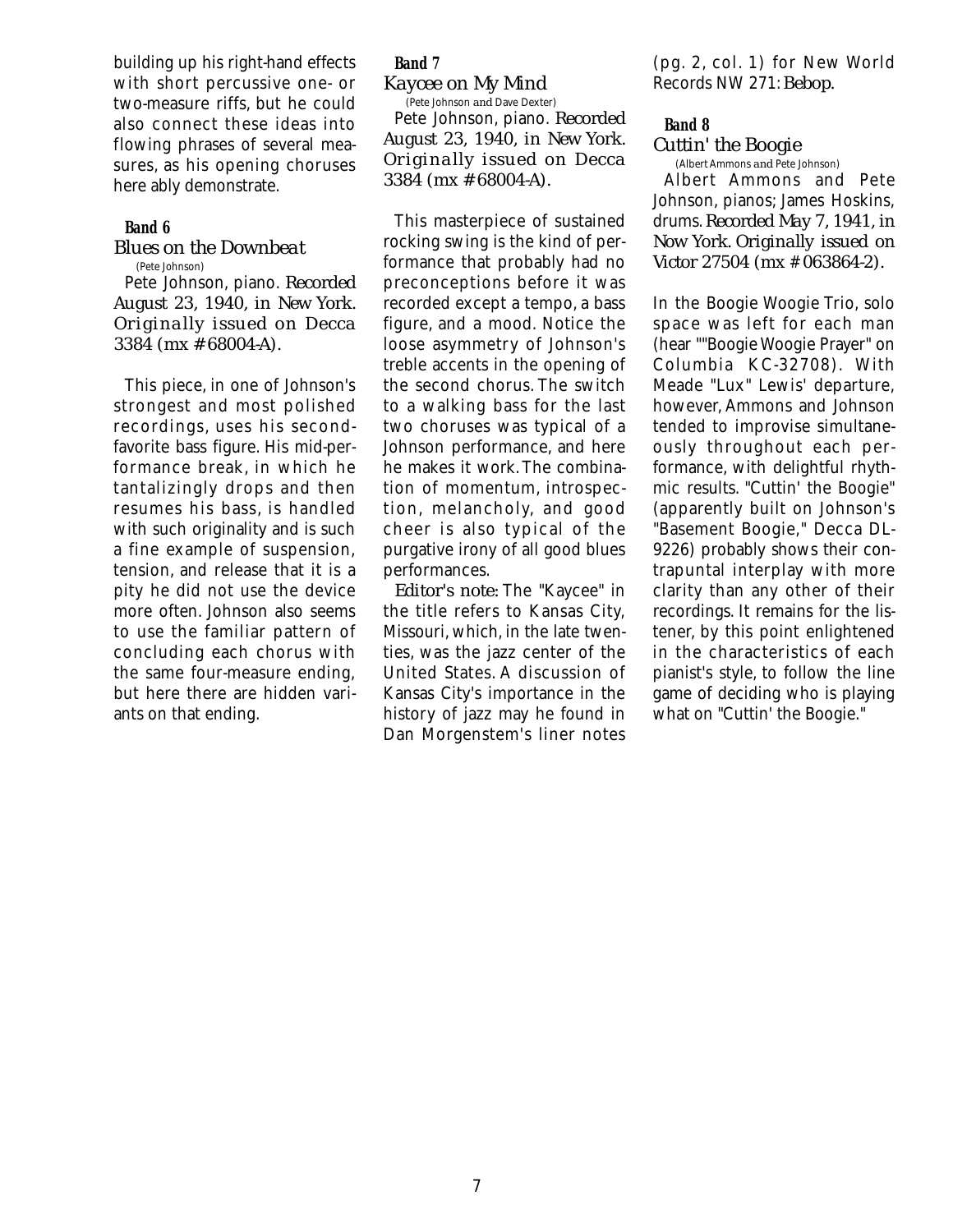building up his right-hand effects with short percussive one- or two-measure riffs, but he could also connect these ideas into flowing phrases of several measures, as his opening choruses here ably demonstrate.

## **Band 6**

#### *Blues on the Downbeat* (Pete Johnson)

Pete Johnson, piano. *Recorded August 23, 1940, in New York. Originally issued on Decca 3384 (mx # 68004-A).*

This piece, in one of Johnson's strongest and most polished recordings, uses his secondfavorite bass figure. His mid-performance break, in which he tantalizingly drops and then resumes his bass, is handled with such originality and is such a fine example of suspension, tension, and release that it is a pity he did not use the device more often. Johnson also seems to use the familiar pattern of concluding each chorus with the same four-measure ending, but here there are hidden variants on that ending.

# **Band 7**

*Kaycee on My Mind* (Pete Johnson *and* Dave Dexter)

Pete Johnson, piano. *Recorded August 23, 1940, in New York. Originally issued on Decca 3384 (mx # 68004-A).*

This masterpiece of sustained rocking swing is the kind of performance that probably had no preconceptions before it was recorded except a tempo, a bass figure, and a mood. Notice the loose asymmetry of Johnson's treble accents in the opening of the second chorus. The switch to a walking bass for the last two choruses was typical of a Johnson performance, and here he makes it work.The combination of momentum, introspection, melancholy, and good cheer is also typical of the purgative irony of all good blues performances.

*Editor's note:* The "Kaycee" in the title refers to Kansas City, Missouri, which, in the late twenties, was the jazz center of the United States. A discussion of Kansas City's importance in the history of jazz may he found in Dan Morgenstem's liner notes

(pg. 2, col. 1) for New World Records NW 271:*Bebop.*

#### **Band 8**

## *Cuttin' the Boogie*

(Albert Ammons *and* Pete Johnson)

Albert Ammons and Pete Johnson, pianos; James Hoskins, drums.*Recorded May 7, 1941, in Now York. Originally issued on Victor 27504 (mx* # *063864-2).*

In the Boogie Woogie Trio, solo space was left for each man (hear ""Boogie Woogie Prayer" on Columbia KC-32708). With Meade "Lux" Lewis' departure, however, Ammons and Johnson tended to improvise simultaneously throughout each performance, with delightful rhythmic results. "Cuttin' the Boogie" (apparently built on Johnson's "Basement Boogie," Decca DL-9226) probably shows their contrapuntal interplay with more clarity than any other of their recordings. It remains for the listener, by this point enlightened in the characteristics of each pianist's style, to follow the line game of deciding who is playing what on "Cuttin' the Boogie."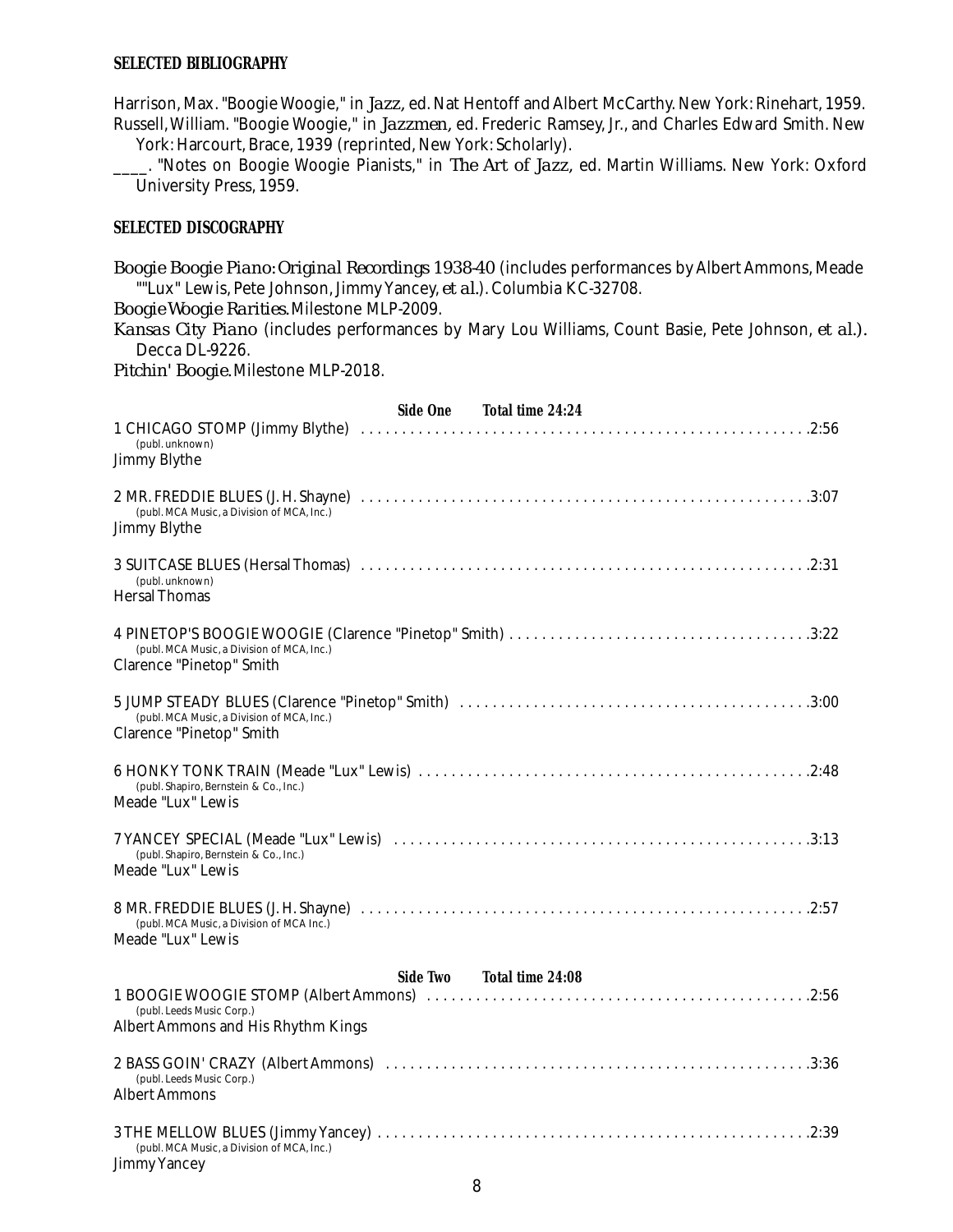## **SELECTED BIBLIOGRAPHY**

Harrison, Max. "Boogie Woogie," in *Jazz,* ed. Nat Hentoff and Albert McCarthy. New York: Rinehart, 1959. Russell,William. "Boogie Woogie," in *Jazzmen,* ed. Frederic Ramsey, Jr., and Charles Edward Smith. New

York: Harcourt, Brace, 1939 (reprinted, New York: Scholarly).

\_\_\_\_. "Notes on Boogie Woogie Pianists," in *The Art of Jazz,* ed. Martin Williams. New York: Oxford University Press, 1959.

## **SELECTED DISCOGRAPHY**

*Boogie Boogie Piano: Original Recordings 1938-40* (includes performances by Albert Ammons, Meade ""Lux" Lewis, Pete Johnson,Jimmy Yancey, *et al.*).Columbia KC-32708.

*Boogie Woogie Rarities.* Milestone MLP-2009.

*Kansas City Piano* (includes performances by Mary Lou Williams, Count Basie, Pete Johnson, *et al.).* Decca DL-9226.

*Pitchin' Boogie.* Milestone MLP-2018.

| Side One Total time 24:24                                                     |
|-------------------------------------------------------------------------------|
| (publ. unknown)<br><b>Jimmy Blythe</b>                                        |
| (publ. MCA Music, a Division of MCA, Inc.)<br><b>Jimmy Blythe</b>             |
| (publ. unknown)<br><b>Hersal Thomas</b>                                       |
| (publ. MCA Music, a Division of MCA, Inc.)<br><b>Clarence "Pinetop" Smith</b> |
| (publ. MCA Music, a Division of MCA, Inc.)<br><b>Clarence "Pinetop" Smith</b> |
| (publ. Shapiro, Bernstein & Co., Inc.)<br>Meade "Lux" Lewis                   |
| (publ. Shapiro, Bernstein & Co., Inc.)<br>Meade "Lux" Lewis                   |
| (publ. MCA Music, a Division of MCA Inc.)<br>Meade "Lux" Lewis                |
| Side Two Total time 24:08                                                     |
| (publ. Leeds Music Corp.)<br><b>Albert Ammons and His Rhythm Kings</b>        |
| (publ. Leeds Music Corp.)<br><b>Albert Ammons</b>                             |
| (publ. MCA Music, a Division of MCA, Inc.)<br><b>Jimmy Yancey</b>             |

# 8